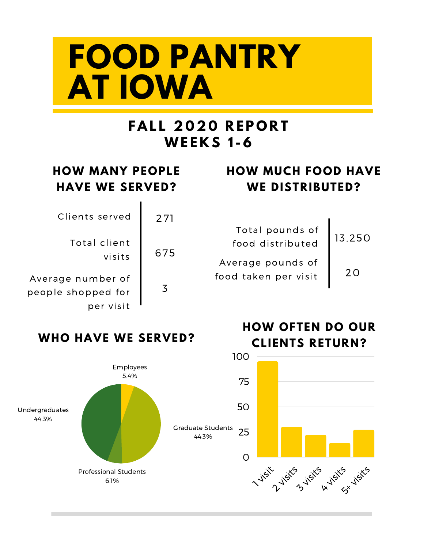# **FOOD PANTRY AT IOWA**

## **F A L L 2 0 2 0 R E P O R T WE E K S 1 - 6**

### **HOW MUCH FOOD HAVE WE DISTRIBUTED?**

| Total pounds of<br>food distributed       | 13,250 |
|-------------------------------------------|--------|
| Average pounds of<br>food taken per visit | 2 O    |

**HOW OFTEN DO OUR**

## **HOW MANY PEOPLE HAVE WE SERVED?**

Clients served Total client visits Average number of people shopped for per visit 3 271 675

#### **WHO HAVE WE SERVED?**

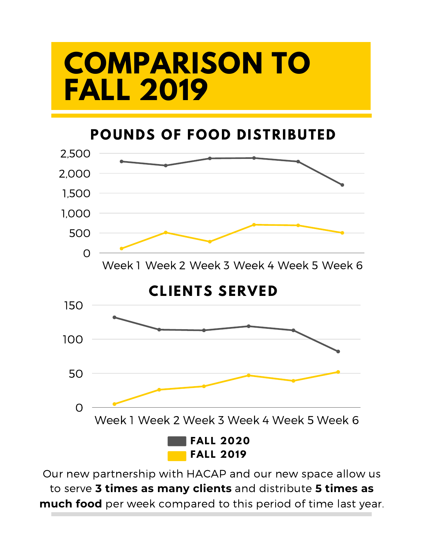# **COMPARISON TO FALL 2019**

**POUNDS OF FOOD DISTRIBUTED**



Our new partnership with HACAP and our new space allow us to serve **3 times as many clients** and distribute **5 times as much food** per week compared to this period of time last year.